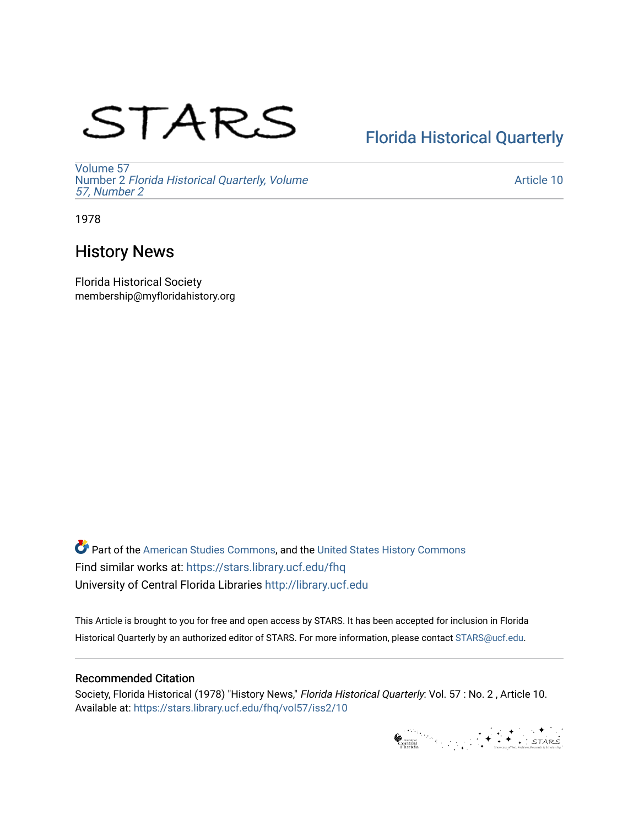# STARS

# [Florida Historical Quarterly](https://stars.library.ucf.edu/fhq)

[Volume 57](https://stars.library.ucf.edu/fhq/vol57) Number 2 [Florida Historical Quarterly, Volume](https://stars.library.ucf.edu/fhq/vol57/iss2)  [57, Number 2](https://stars.library.ucf.edu/fhq/vol57/iss2)

[Article 10](https://stars.library.ucf.edu/fhq/vol57/iss2/10) 

1978

# History News

Florida Historical Society membership@myfloridahistory.org

**C** Part of the [American Studies Commons](http://network.bepress.com/hgg/discipline/439?utm_source=stars.library.ucf.edu%2Ffhq%2Fvol57%2Fiss2%2F10&utm_medium=PDF&utm_campaign=PDFCoverPages), and the United States History Commons Find similar works at: <https://stars.library.ucf.edu/fhq> University of Central Florida Libraries [http://library.ucf.edu](http://library.ucf.edu/) 

This Article is brought to you for free and open access by STARS. It has been accepted for inclusion in Florida Historical Quarterly by an authorized editor of STARS. For more information, please contact [STARS@ucf.edu.](mailto:STARS@ucf.edu)

## Recommended Citation

Society, Florida Historical (1978) "History News," Florida Historical Quarterly: Vol. 57 : No. 2 , Article 10. Available at: [https://stars.library.ucf.edu/fhq/vol57/iss2/10](https://stars.library.ucf.edu/fhq/vol57/iss2/10?utm_source=stars.library.ucf.edu%2Ffhq%2Fvol57%2Fiss2%2F10&utm_medium=PDF&utm_campaign=PDFCoverPages)

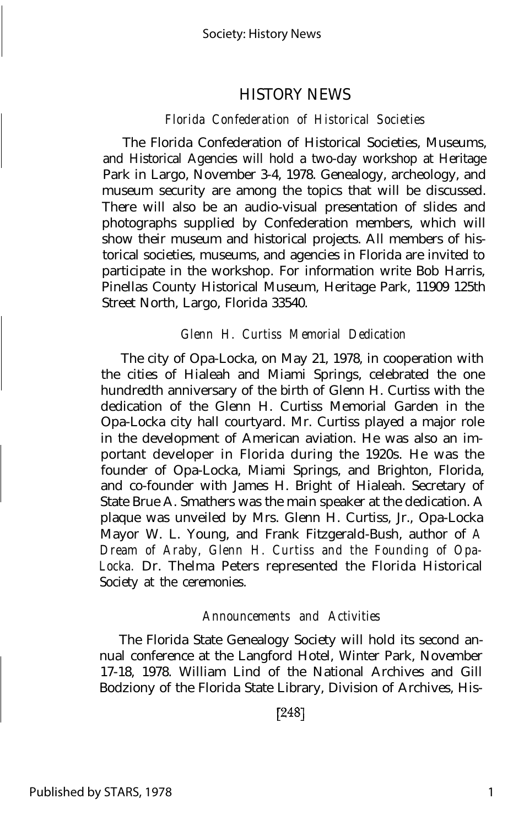## HISTORY NEWS

### *Florida Confederation of Historical Societies*

The Florida Confederation of Historical Societies, Museums, and Historical Agencies will hold a two-day workshop at Heritage Park in Largo, November 3-4, 1978. Genealogy, archeology, and museum security are among the topics that will be discussed. There will also be an audio-visual presentation of slides and photographs supplied by Confederation members, which will show their museum and historical projects. All members of historical societies, museums, and agencies in Florida are invited to participate in the workshop. For information write Bob Harris, Pinellas County Historical Museum, Heritage Park, 11909 125th Street North, Largo, Florida 33540.

#### *Glenn H. Curtiss Memorial Dedication*

The city of Opa-Locka, on May 21, 1978, in cooperation with the cities of Hialeah and Miami Springs, celebrated the one hundredth anniversary of the birth of Glenn H. Curtiss with the dedication of the Glenn H. Curtiss Memorial Garden in the Opa-Locka city hall courtyard. Mr. Curtiss played a major role in the development of American aviation. He was also an important developer in Florida during the 1920s. He was the founder of Opa-Locka, Miami Springs, and Brighton, Florida, and co-founder with James H. Bright of Hialeah. Secretary of State Brue A. Smathers was the main speaker at the dedication. A plaque was unveiled by Mrs. Glenn H. Curtiss, Jr., Opa-Locka Mayor W. L. Young, and Frank Fitzgerald-Bush, author of *A Dream of Araby, Glenn H. Curtiss and the Founding of Opa-Locka.* Dr. Thelma Peters represented the Florida Historical Society at the ceremonies.

#### *Announcements and Activities*

The Florida State Genealogy Society will hold its second annual conference at the Langford Hotel, Winter Park, November 17-18, 1978. William Lind of the National Archives and Gill Bodziony of the Florida State Library, Division of Archives, His-

 $[248]$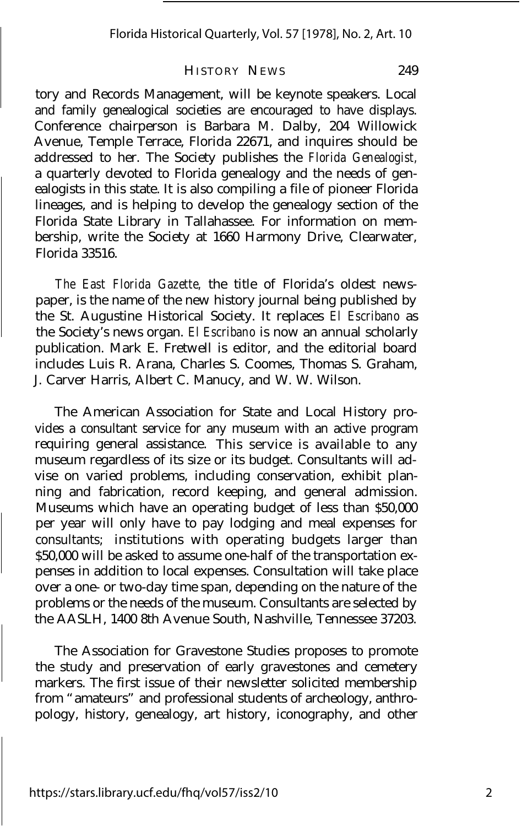#### HISTORY NEWS 249

tory and Records Management, will be keynote speakers. Local and family genealogical societies are encouraged to have displays. Conference chairperson is Barbara M. Dalby, 204 Willowick Avenue, Temple Terrace, Florida 22671, and inquires should be addressed to her. The Society publishes the *Florida Genealogist,* a quarterly devoted to Florida genealogy and the needs of genealogists in this state. It is also compiling a file of pioneer Florida lineages, and is helping to develop the genealogy section of the Florida State Library in Tallahassee. For information on membership, write the Society at 1660 Harmony Drive, Clearwater, Florida 33516.

*The East Florida Gazette,* the title of Florida's oldest newspaper, is the name of the new history journal being published by the St. Augustine Historical Society. It replaces *El Escribano* as the Society's news organ. *El Escribano* is now an annual scholarly publication. Mark E. Fretwell is editor, and the editorial board includes Luis R. Arana, Charles S. Coomes, Thomas S. Graham, J. Carver Harris, Albert C. Manucy, and W. W. Wilson.

The American Association for State and Local History provides a consultant service for any museum with an active program requiring general assistance. This service is available to any museum regardless of its size or its budget. Consultants will advise on varied problems, including conservation, exhibit planning and fabrication, record keeping, and general admission. Museums which have an operating budget of less than \$50,000 per year will only have to pay lodging and meal expenses for consultants; institutions with operating budgets larger than \$50,000 will be asked to assume one-half of the transportation expenses in addition to local expenses. Consultation will take place over a one- or two-day time span, depending on the nature of the problems or the needs of the museum. Consultants are selected by the AASLH, 1400 8th Avenue South, Nashville, Tennessee 37203.

The Association for Gravestone Studies proposes to promote the study and preservation of early gravestones and cemetery markers. The first issue of their newsletter solicited membership from "amateurs" and professional students of archeology, anthropology, history, genealogy, art history, iconography, and other